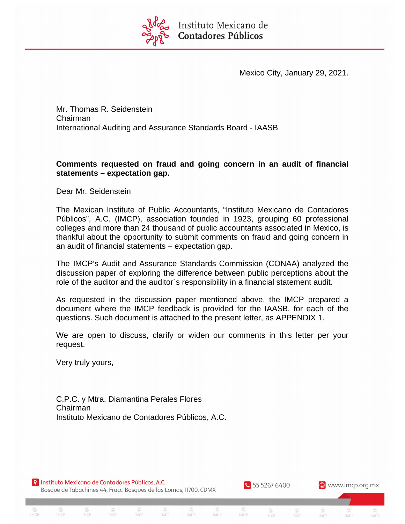

Mexico City, January 29, 2021.

Mr. Thomas R. Seidenstein Chairman International Auditing and Assurance Standards Board - IAASB

# **Comments requested on fraud and going concern in an audit of financial statements – expectation gap.**

Dear Mr. Seidenstein

The Mexican Institute of Public Accountants, "Instituto Mexicano de Contadores Públicos", A.C. (IMCP), association founded in 1923, grouping 60 professional colleges and more than 24 thousand of public accountants associated in Mexico, is thankful about the opportunity to submit comments on fraud and going concern in an audit of financial statements – expectation gap.

The IMCP's Audit and Assurance Standards Commission (CONAA) analyzed the discussion paper of exploring the difference between public perceptions about the role of the auditor and the auditor´s responsibility in a financial statement audit.

As requested in the discussion paper mentioned above, the IMCP prepared a document where the IMCP feedback is provided for the IAASB, for each of the questions. Such document is attached to the present letter, as APPENDIX 1.

We are open to discuss, clarify or widen our comments in this letter per your request.

IMCP

**IMCP** 

IMCP

55 5267 6400

IMCP

IMCP

IMCP

**⊕** www.imcp.org.mx

Very truly yours,

IMCP

IMCP

C.P.C. y Mtra. Diamantina Perales Flores Chairman Instituto Mexicano de Contadores Públicos, A.C.

**O** Instituto Mexicano de Contadores Públicos, A.C. Bosque de Tabachines 44, Fracc. Bosques de las Lomas, 11700, CDMX

**IMCP** 

IMCP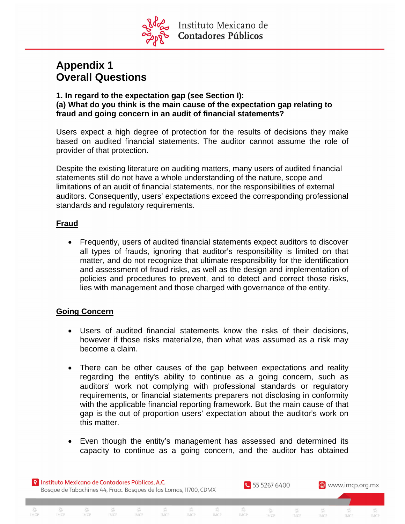

# **Appendix 1 Overall Questions**

#### **1. In regard to the expectation gap (see Section I): (a) What do you think is the main cause of the expectation gap relating to fraud and going concern in an audit of financial statements?**

Users expect a high degree of protection for the results of decisions they make based on audited financial statements. The auditor cannot assume the role of provider of that protection.

Despite the existing literature on auditing matters, many users of audited financial statements still do not have a whole understanding of the nature, scope and limitations of an audit of financial statements, nor the responsibilities of external auditors. Consequently, users' expectations exceed the corresponding professional standards and regulatory requirements.

## **Fraud**

 Frequently, users of audited financial statements expect auditors to discover all types of frauds, ignoring that auditor's responsibility is limited on that matter, and do not recognize that ultimate responsibility for the identification and assessment of fraud risks, as well as the design and implementation of policies and procedures to prevent, and to detect and correct those risks, lies with management and those charged with governance of the entity.

# **Going Concern**

- Users of audited financial statements know the risks of their decisions, however if those risks materialize, then what was assumed as a risk may become a claim.
- There can be other causes of the gap between expectations and reality regarding the entity's ability to continue as a going concern, such as auditors' work not complying with professional standards or regulatory requirements, or financial statements preparers not disclosing in conformity with the applicable financial reporting framework. But the main cause of that gap is the out of proportion users' expectation about the auditor's work on this matter.
- Even though the entity's management has assessed and determined its capacity to continue as a going concern, and the auditor has obtained

IMCP

**IMCP** 

IMCP

IMCP

**O** Instituto Mexicano de Contadores Públicos, A.C. Bosque de Tabachines 44, Fracc. Bosques de las Lomas, 11700, CDMX

**IMCP** 

IMCP

IMCP

**IMCP** 

IMCP

55 5267 6400

IMCP

**IMCP** 

**⊕** www.imcp.org.mx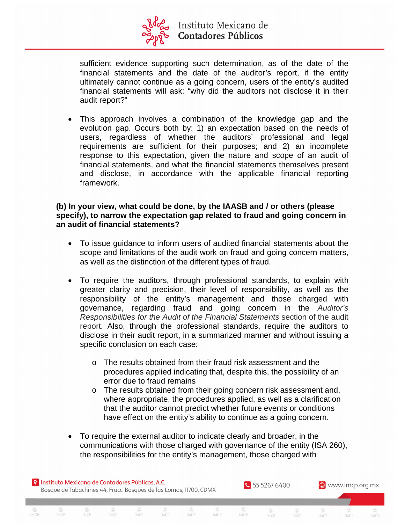

sufficient evidence supporting such determination, as of the date of the financial statements and the date of the auditor's report, if the entity ultimately cannot continue as a going concern, users of the entity's audited financial statements will ask: "why did the auditors not disclose it in their audit report?"

 This approach involves a combination of the knowledge gap and the evolution gap. Occurs both by: 1) an expectation based on the needs of users, regardless of whether the auditors' professional and legal requirements are sufficient for their purposes; and 2) an incomplete response to this expectation, given the nature and scope of an audit of financial statements, and what the financial statements themselves present and disclose, in accordance with the applicable financial reporting framework.

#### **(b) In your view, what could be done, by the IAASB and / or others (please specify), to narrow the expectation gap related to fraud and going concern in an audit of financial statements?**

- To issue guidance to inform users of audited financial statements about the scope and limitations of the audit work on fraud and going concern matters, as well as the distinction of the different types of fraud.
- To require the auditors, through professional standards, to explain with greater clarity and precision, their level of responsibility, as well as the responsibility of the entity's management and those charged with governance, regarding fraud and going concern in the *Auditor's Responsibilities for the Audit of the Financial Statements* section of the audit report. Also, through the professional standards, require the auditors to disclose in their audit report, in a summarized manner and without issuing a specific conclusion on each case:
	- o The results obtained from their fraud risk assessment and the procedures applied indicating that, despite this, the possibility of an error due to fraud remains
	- o The results obtained from their going concern risk assessment and, where appropriate, the procedures applied, as well as a clarification that the auditor cannot predict whether future events or conditions have effect on the entity's ability to continue as a going concern.
- To require the external auditor to indicate clearly and broader, in the communications with those charged with governance of the entity (ISA 260), the responsibilities for the entity's management, those charged with

兴

**IMCP** 

**IMCP** 

IMCP

**IMCP** 

IMCP



IMCP

IMCP

IMCP

IMCP

IMCP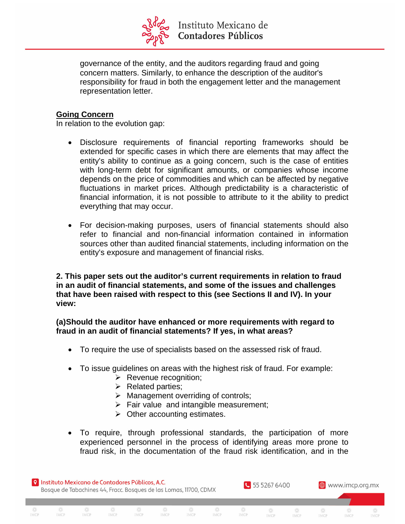

governance of the entity, and the auditors regarding fraud and going concern matters. Similarly, to enhance the description of the auditor's responsibility for fraud in both the engagement letter and the management representation letter.

## **Going Concern**

In relation to the evolution gap:

- Disclosure requirements of financial reporting frameworks should be extended for specific cases in which there are elements that may affect the entity's ability to continue as a going concern, such is the case of entities with long-term debt for significant amounts, or companies whose income depends on the price of commodities and which can be affected by negative fluctuations in market prices. Although predictability is a characteristic of financial information, it is not possible to attribute to it the ability to predict everything that may occur.
- For decision-making purposes, users of financial statements should also refer to financial and non-financial information contained in information sources other than audited financial statements, including information on the entity's exposure and management of financial risks.

**2. This paper sets out the auditor's current requirements in relation to fraud in an audit of financial statements, and some of the issues and challenges that have been raised with respect to this (see Sections II and IV). In your view:**

**(a)Should the auditor have enhanced or more requirements with regard to fraud in an audit of financial statements? If yes, in what areas?**

- To require the use of specialists based on the assessed risk of fraud.
- To issue guidelines on areas with the highest risk of fraud. For example:
	- $\triangleright$  Revenue recognition;
	- $\triangleright$  Related parties;
	- $\triangleright$  Management overriding of controls;
	- $\triangleright$  Fair value and intangible measurement;

IMCP

- $\triangleright$  Other accounting estimates.
- To require, through professional standards, the participation of more experienced personnel in the process of identifying areas more prone to fraud risk, in the documentation of the fraud risk identification, and in the

兴

**IMCP** 

**IMCP** 

**O** Instituto Mexicano de Contadores Públicos, A.C. Bosque de Tabachines 44, Fracc. Bosques de las Lomas, 11700, CDMX

**IMCP** 

IMCP

IMCP

IMCP

IMCP

55 5267 6400

IMCP

**IMCP** 

IMCP

**⊕** www.imcp.org.mx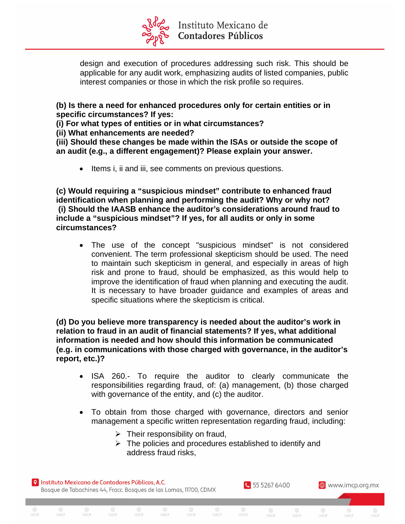

design and execution of procedures addressing such risk. This should be applicable for any audit work, emphasizing audits of listed companies, public interest companies or those in which the risk profile so requires.

**(b) Is there a need for enhanced procedures only for certain entities or in specific circumstances? If yes:**

**(i) For what types of entities or in what circumstances?**

**(ii) What enhancements are needed?**

**(iii) Should these changes be made within the ISAs or outside the scope of an audit (e.g., a different engagement)? Please explain your answer.**

• Items i, ii and iii, see comments on previous questions.

**(c) Would requiring a "suspicious mindset" contribute to enhanced fraud identification when planning and performing the audit? Why or why not? (i) Should the IAASB enhance the auditor's considerations around fraud to include a "suspicious mindset"? If yes, for all audits or only in some circumstances?**

 The use of the concept "suspicious mindset" is not considered convenient. The term professional skepticism should be used. The need to maintain such skepticism in general, and especially in areas of high risk and prone to fraud, should be emphasized, as this would help to improve the identification of fraud when planning and executing the audit. It is necessary to have broader guidance and examples of areas and specific situations where the skepticism is critical.

**(d) Do you believe more transparency is needed about the auditor's work in relation to fraud in an audit of financial statements? If yes, what additional information is needed and how should this information be communicated (e.g. in communications with those charged with governance, in the auditor's report, etc.)?**

- ISA 260.- To require the auditor to clearly communicate the responsibilities regarding fraud, of: (a) management, (b) those charged with governance of the entity, and (c) the auditor.
- To obtain from those charged with governance, directors and senior management a specific written representation regarding fraud, including:
	- $\triangleright$  Their responsibility on fraud,

IMCP

IMCP

 $\triangleright$  The policies and procedures established to identify and address fraud risks,

兴

**IMCP** 

**IMCP** 

55 5267 6400

IMCP

**IMCP** 

IMCP

**⊕** www.imcp.org.mx

**O** Instituto Mexicano de Contadores Públicos, A.C. Bosque de Tabachines 44, Fracc. Bosques de las Lomas, 11700, CDMX

**IMCP** 

IMCP

IMCP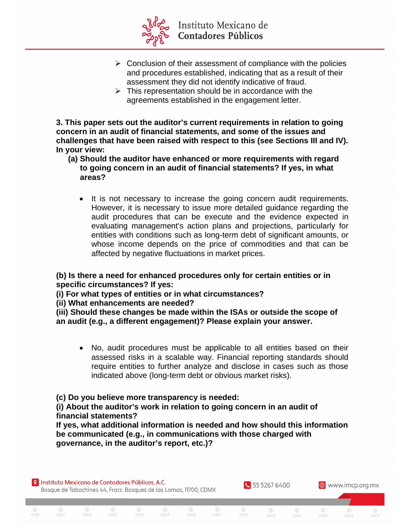

- $\triangleright$  Conclusion of their assessment of compliance with the policies and procedures established, indicating that as a result of their assessment they did not identify indicative of fraud.
- $\triangleright$  This representation should be in accordance with the agreements established in the engagement letter.

**3. This paper sets out the auditor's current requirements in relation to going concern in an audit of financial statements, and some of the issues and challenges that have been raised with respect to this (see Sections III and IV). In your view:**

- **(a) Should the auditor have enhanced or more requirements with regard to going concern in an audit of financial statements? If yes, in what areas?**
	- It is not necessary to increase the going concern audit requirements. However, it is necessary to issue more detailed guidance regarding the audit procedures that can be execute and the evidence expected in evaluating management's action plans and projections, particularly for entities with conditions such as long-term debt of significant amounts, or whose income depends on the price of commodities and that can be affected by negative fluctuations in market prices.

**(b) Is there a need for enhanced procedures only for certain entities or in specific circumstances? If yes:**

**(i) For what types of entities or in what circumstances?**

**(ii) What enhancements are needed?**

**(iii) Should these changes be made within the ISAs or outside the scope of an audit (e.g., a different engagement)? Please explain your answer.**

 No, audit procedures must be applicable to all entities based on their assessed risks in a scalable way. Financial reporting standards should require entities to further analyze and disclose in cases such as those indicated above (long-term debt or obvious market risks).

**(c) Do you believe more transparency is needed:**

**(i) About the auditor's work in relation to going concern in an audit of financial statements?**

IMCP

**IMCP** 

**IMCP** 

**If yes, what additional information is needed and how should this information be communicated (e.g., in communications with those charged with governance, in the auditor's report, etc.)?**

55 5267 6400

IMCP

**IMCP** 

IMCP

**⊕** www.imcp.org.mx

**O** Instituto Mexicano de Contadores Públicos, A.C. Bosque de Tabachines 44, Fracc. Bosques de las Lomas, 11700, CDMX

**IMCP** 

IMCP

IMCP

IMCP